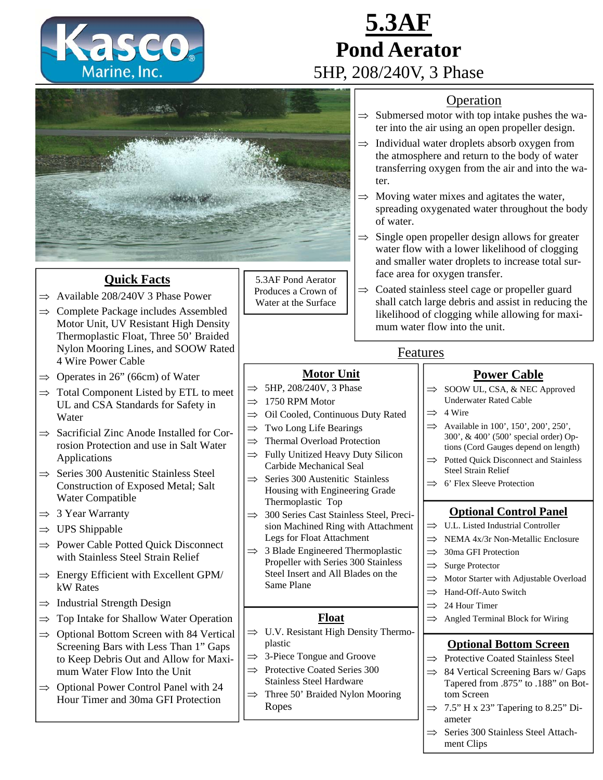

# **5.3AF Pond Aerator**  5HP, 208/240V, 3 Phase

#### Operation

- $\Rightarrow$  Submersed motor with top intake pushes the water into the air using an open propeller design.
- $\Rightarrow$  Individual water droplets absorb oxygen from the atmosphere and return to the body of water transferring oxygen from the air and into the water.
- $\Rightarrow$  Moving water mixes and agitates the water, spreading oxygenated water throughout the body of water.
- $\Rightarrow$  Single open propeller design allows for greater water flow with a lower likelihood of clogging and smaller water droplets to increase total surface area for oxygen transfer.
- $\Rightarrow$  Coated stainless steel cage or propeller guard shall catch large debris and assist in reducing the likelihood of clogging while allowing for maximum water flow into the unit.

 $\Rightarrow$  SOOW UL, CSA, & NEC Approved Underwater Rated Cable

**Power Cable**

- $\implies$  4 Wire
- $\implies$  Available in 100', 150', 200', 250', 300', & 400' (500' special order) Options (Cord Gauges depend on length)
- $\implies$  Potted Quick Disconnect and Stainless Steel Strain Relief
- $\implies$  6' Flex Sleeve Protection

### **Optional Control Panel**

- $\implies$  U.L. Listed Industrial Controller
- $\implies$  NEMA 4x/3r Non-Metallic Enclosure
- $\implies$  30ma GFI Protection
- $\implies$  Surge Protector
- $\implies$  Motor Starter with Adjustable Overload
- $\implies$  Hand-Off-Auto Switch
- $\implies$  24 Hour Timer
- $\implies$  Angled Terminal Block for Wiring

### **Optional Bottom Screen**

- $\Rightarrow$  Protective Coated Stainless Steel
- $\implies$  84 Vertical Screening Bars w/ Gaps Tapered from .875" to .188" on Bottom Screen
- $\Rightarrow$  7.5" H x 23" Tapering to 8.25" Diameter
- $\implies$  Series 300 Stainless Steel Attachment Clips



## **Quick Facts**

- $\Rightarrow$  Available 208/240V 3 Phase Power
- $\Rightarrow$  Complete Package includes Assembled Motor Unit, UV Resistant High Density Thermoplastic Float, Three 50' Braided Nylon Mooring Lines, and SOOW Rated 4 Wire Power Cable
- $\Rightarrow$  Operates in 26" (66cm) of Water
- $\Rightarrow$  Total Component Listed by ETL to meet UL and CSA Standards for Safety in Water
- $\Rightarrow$  Sacrificial Zinc Anode Installed for Corrosion Protection and use in Salt Water Applications
- $\Rightarrow$  Series 300 Austenitic Stainless Steel Construction of Exposed Metal; Salt Water Compatible
- $\Rightarrow$  3 Year Warranty
- $\Rightarrow$  UPS Shippable
- $\Rightarrow$  Power Cable Potted Quick Disconnect with Stainless Steel Strain Relief
- $\Rightarrow$  Energy Efficient with Excellent GPM/ kW Rates
- $\Rightarrow$  Industrial Strength Design
- $\Rightarrow$  Top Intake for Shallow Water Operation
- $\Rightarrow$  Optional Bottom Screen with 84 Vertical Screening Bars with Less Than 1" Gaps to Keep Debris Out and Allow for Maximum Water Flow Into the Unit
- $\Rightarrow$  Optional Power Control Panel with 24 Hour Timer and 30ma GFI Protection

5.3AF Pond Aerator Produces a Crown of Water at the Surface

- 
- - $\implies$  Oil Cooled, Continuous Duty Rated

**Motor Unit**

- 
- $\Rightarrow$  Thermal Overload Protection
- $\Rightarrow$  Fully Unitized Heavy Duty Silicon Carbide Mechanical Seal
- $\Rightarrow$  Series 300 Austenitic Stainless Housing with Engineering Grade Thermoplastic Top
- $\implies$  300 Series Cast Stainless Steel, Precision Machined Ring with Attachment Legs for Float Attachment
- $\implies$  3 Blade Engineered Thermoplastic Propeller with Series 300 Stainless Steel Insert and All Blades on the Same Plane

### **Float**

- $\Rightarrow$  U.V. Resistant High Density Thermoplastic
- $\Rightarrow$  3-Piece Tongue and Groove
- $\implies$  Protective Coated Series 300 Stainless Steel Hardware
- $\implies$  Three 50' Braided Nylon Mooring Ropes

 $\Rightarrow$  5HP, 208/240V, 3 Phase 1750 RPM Motor

- $\Rightarrow$  Two Long Life Bearings
- 
- -
- -
	-

Features